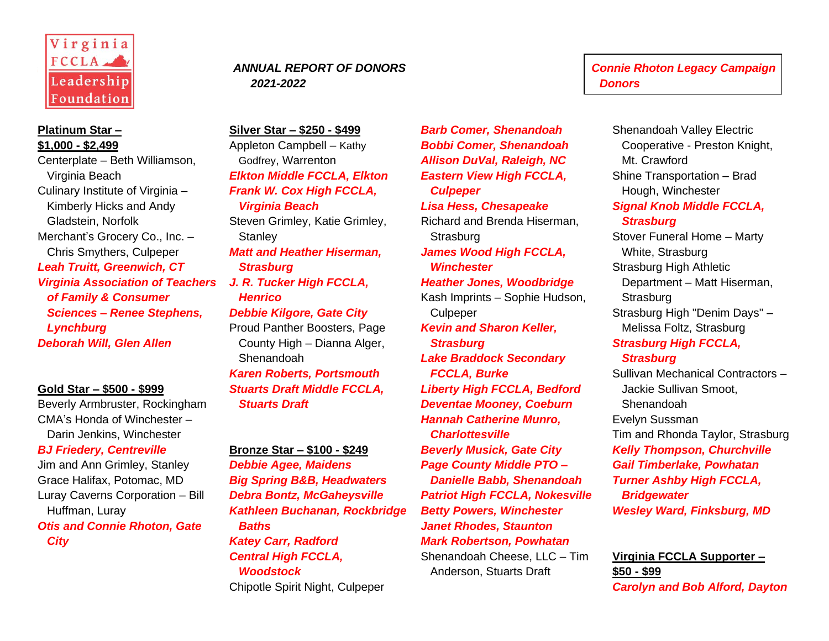

## **Platinum Star – \$1,000 - \$2,499**

Centerplate – Beth Williamson, Virginia Beach Culinary Institute of Virginia – Kimberly Hicks and Andy Gladstein, Norfolk Merchant's Grocery Co., Inc. – Chris Smythers, Culpeper *Leah Truitt, Greenwich, CT Virginia Association of Teachers of Family & Consumer Sciences – Renee Stephens, Lynchburg Deborah Will, Glen Allen*

## **Gold Star – \$500 - \$999**

Beverly Armbruster, Rockingham CMA's Honda of Winchester – Darin Jenkins, Winchester *BJ Friedery, Centreville* Jim and Ann Grimley, Stanley Grace Halifax, Potomac, MD Luray Caverns Corporation – Bill Huffman, Luray *Otis and Connie Rhoton, Gate* 

*City*

# *2021-2022 Donors*

**Silver Star – \$250 - \$499** Appleton Campbell – Kathy Godfrey, Warrenton *Elkton Middle FCCLA, Elkton Frank W. Cox High FCCLA, Virginia Beach* Steven Grimley, Katie Grimley, **Stanley** *Matt and Heather Hiserman, Strasburg J. R. Tucker High FCCLA, Henrico Debbie Kilgore, Gate City* Proud Panther Boosters, Page County High – Dianna Alger, Shenandoah *Karen Roberts, Portsmouth Stuarts Draft Middle FCCLA, Stuarts Draft*

# **Bronze Star – \$100 - \$249**

*Debbie Agee, Maidens Big Spring B&B, Headwaters Debra Bontz, McGaheysville Kathleen Buchanan, Rockbridge Baths Katey Carr, Radford Central High FCCLA, Woodstock*

Chipotle Spirit Night, Culpeper

*Barb Comer, Shenandoah Bobbi Comer, Shenandoah Allison DuVal, Raleigh, NC Eastern View High FCCLA, Culpeper Lisa Hess, Chesapeake* Richard and Brenda Hiserman, **Strasburg** *James Wood High FCCLA, Winchester Heather Jones, Woodbridge* Kash Imprints – Sophie Hudson, **Culpeper** *Kevin and Sharon Keller, Strasburg Lake Braddock Secondary FCCLA, Burke Liberty High FCCLA, Bedford Deventae Mooney, Coeburn Hannah Catherine Munro, Charlottesville Beverly Musick, Gate City Page County Middle PTO – Danielle Babb, Shenandoah Patriot High FCCLA, Nokesville Betty Powers, Winchester Janet Rhodes, Staunton Mark Robertson, Powhatan* Shenandoah Cheese, LLC – Tim Anderson, Stuarts Draft

 *ANNUAL REPORT OF DONORS Connie Rhoton Legacy Campaign* 

Shenandoah Valley Electric Cooperative - Preston Knight, Mt. Crawford Shine Transportation – Brad Hough, Winchester *Signal Knob Middle FCCLA, Strasburg* Stover Funeral Home – Marty White, Strasburg Strasburg High Athletic Department – Matt Hiserman, **Strasburg** Strasburg High "Denim Days" – Melissa Foltz, Strasburg *Strasburg High FCCLA, Strasburg* Sullivan Mechanical Contractors – Jackie Sullivan Smoot, Shenandoah Evelyn Sussman Tim and Rhonda Taylor, Strasburg *Kelly Thompson, Churchville Gail Timberlake, Powhatan Turner Ashby High FCCLA, Bridgewater Wesley Ward, Finksburg, MD*

**Virginia FCCLA Supporter – \$50 - \$99** *Carolyn and Bob Alford, Dayton*